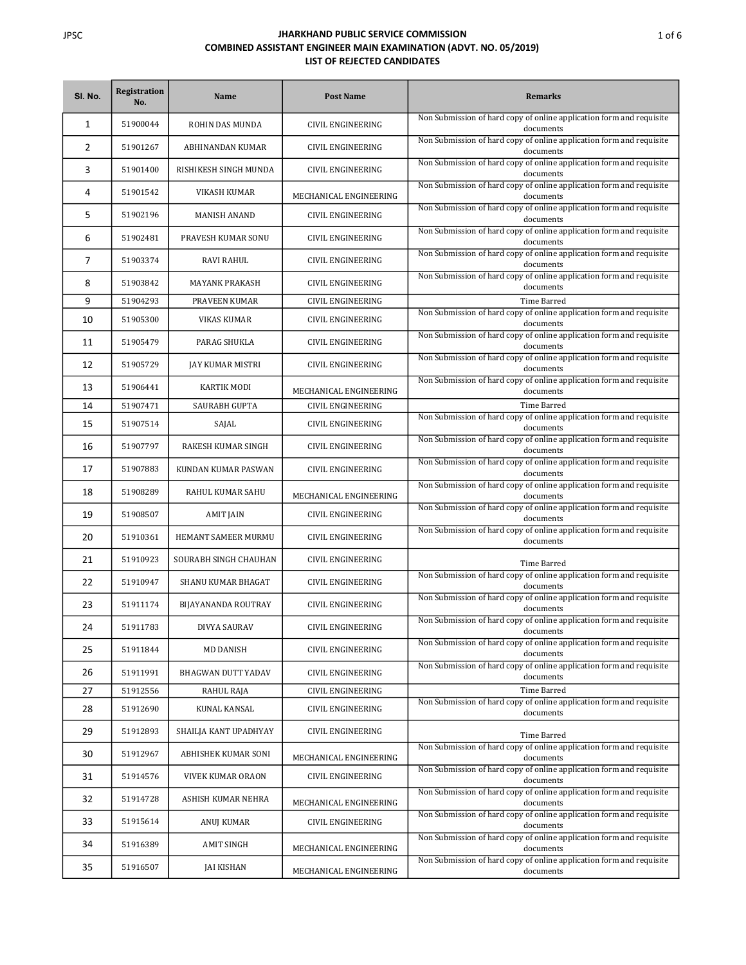| SI. No. | Registration<br>No. | Name                  | <b>Post Name</b>         | <b>Remarks</b>                                                                    |
|---------|---------------------|-----------------------|--------------------------|-----------------------------------------------------------------------------------|
| 1       | 51900044            | ROHIN DAS MUNDA       | CIVIL ENGINEERING        | Non Submission of hard copy of online application form and requisite<br>documents |
| 2       | 51901267            | ABHINANDAN KUMAR      | CIVIL ENGINEERING        | Non Submission of hard copy of online application form and requisite<br>documents |
| 3       | 51901400            | RISHIKESH SINGH MUNDA | CIVIL ENGINEERING        | Non Submission of hard copy of online application form and requisite<br>documents |
| 4       | 51901542            | VIKASH KUMAR          | MECHANICAL ENGINEERING   | Non Submission of hard copy of online application form and requisite<br>documents |
| 5       | 51902196            | <b>MANISH ANAND</b>   | CIVIL ENGINEERING        | Non Submission of hard copy of online application form and requisite<br>documents |
| 6       | 51902481            | PRAVESH KUMAR SONU    | CIVIL ENGINEERING        | Non Submission of hard copy of online application form and requisite<br>documents |
| 7       | 51903374            | RAVI RAHUL            | CIVIL ENGINEERING        | Non Submission of hard copy of online application form and requisite<br>documents |
| 8       | 51903842            | <b>MAYANK PRAKASH</b> | CIVIL ENGINEERING        | Non Submission of hard copy of online application form and requisite<br>documents |
| 9       | 51904293            | PRAVEEN KUMAR         | CIVIL ENGINEERING        | Time Barred                                                                       |
| 10      | 51905300            | VIKAS KUMAR           | CIVIL ENGINEERING        | Non Submission of hard copy of online application form and requisite<br>documents |
| 11      | 51905479            | PARAG SHUKLA          | CIVIL ENGINEERING        | Non Submission of hard copy of online application form and requisite<br>documents |
| 12      | 51905729            | JAY KUMAR MISTRI      | CIVIL ENGINEERING        | Non Submission of hard copy of online application form and requisite<br>documents |
| 13      | 51906441            | <b>KARTIK MODI</b>    | MECHANICAL ENGINEERING   | Non Submission of hard copy of online application form and requisite<br>documents |
| 14      | 51907471            | <b>SAURABH GUPTA</b>  | <b>CIVIL ENGINEERING</b> | Time Barred                                                                       |
| 15      | 51907514            | SAJAL                 | CIVIL ENGINEERING        | Non Submission of hard copy of online application form and requisite<br>documents |
| 16      | 51907797            | RAKESH KUMAR SINGH    | CIVIL ENGINEERING        | Non Submission of hard copy of online application form and requisite<br>documents |
| 17      | 51907883            | KUNDAN KUMAR PASWAN   | CIVIL ENGINEERING        | Non Submission of hard copy of online application form and requisite<br>documents |
| 18      | 51908289            | RAHUL KUMAR SAHU      | MECHANICAL ENGINEERING   | Non Submission of hard copy of online application form and requisite<br>documents |
| 19      | 51908507            | AMIT JAIN             | CIVIL ENGINEERING        | Non Submission of hard copy of online application form and requisite<br>documents |
| 20      | 51910361            | HEMANT SAMEER MURMU   | CIVIL ENGINEERING        | Non Submission of hard copy of online application form and requisite<br>documents |
| 21      | 51910923            | SOURABH SINGH CHAUHAN | CIVIL ENGINEERING        | Time Barred                                                                       |
| 22      | 51910947            | SHANU KUMAR BHAGAT    | CIVIL ENGINEERING        | Non Submission of hard copy of online application form and requisite<br>documents |
| 23      | 51911174            | BIJAYANANDA ROUTRAY   | <b>CIVIL ENGINEERING</b> | Non Submission of hard copy of online application form and requisite<br>documents |
| 24      | 51911783            | DIVYA SAURAV          | CIVIL ENGINEERING        | Non Submission of hard copy of online application form and requisite<br>documents |
| 25      | 51911844            | MD DANISH             | CIVIL ENGINEERING        | Non Submission of hard copy of online application form and requisite<br>documents |
| 26      | 51911991            | BHAGWAN DUTT YADAV    | CIVIL ENGINEERING        | Non Submission of hard copy of online application form and requisite<br>documents |
| 27      | 51912556            | RAHUL RAJA            | CIVIL ENGINEERING        | Time Barred                                                                       |
| 28      | 51912690            | KUNAL KANSAL          | CIVIL ENGINEERING        | Non Submission of hard copy of online application form and requisite<br>documents |
| 29      | 51912893            | SHAILJA KANT UPADHYAY | CIVIL ENGINEERING        | Time Barred                                                                       |
| 30      | 51912967            | ABHISHEK KUMAR SONI   | MECHANICAL ENGINEERING   | Non Submission of hard copy of online application form and requisite<br>documents |
| 31      | 51914576            | VIVEK KUMAR ORAON     | CIVIL ENGINEERING        | Non Submission of hard copy of online application form and requisite<br>documents |
| 32      | 51914728            | ASHISH KUMAR NEHRA    | MECHANICAL ENGINEERING   | Non Submission of hard copy of online application form and requisite<br>documents |
| 33      | 51915614            | ANUJ KUMAR            | CIVIL ENGINEERING        | Non Submission of hard copy of online application form and requisite<br>documents |
| 34      | 51916389            | <b>AMIT SINGH</b>     | MECHANICAL ENGINEERING   | Non Submission of hard copy of online application form and requisite<br>documents |
| 35      | 51916507            | JAI KISHAN            | MECHANICAL ENGINEERING   | Non Submission of hard copy of online application form and requisite<br>documents |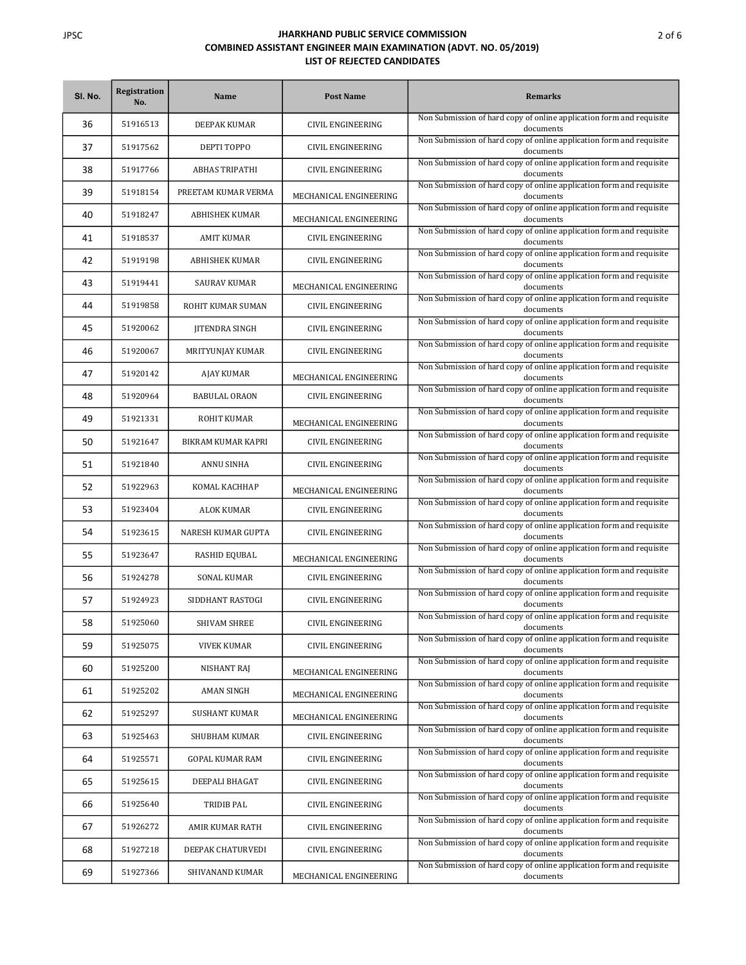| SI. No. | Registration<br>No. | Name                  | <b>Post Name</b>         | <b>Remarks</b>                                                                    |
|---------|---------------------|-----------------------|--------------------------|-----------------------------------------------------------------------------------|
| 36      | 51916513            | DEEPAK KUMAR          | <b>CIVIL ENGINEERING</b> | Non Submission of hard copy of online application form and requisite<br>documents |
| 37      | 51917562            | DEPTI TOPPO           | CIVIL ENGINEERING        | Non Submission of hard copy of online application form and requisite<br>documents |
| 38      | 51917766            | <b>ABHAS TRIPATHI</b> | CIVIL ENGINEERING        | Non Submission of hard copy of online application form and requisite<br>documents |
| 39      | 51918154            | PREETAM KUMAR VERMA   | MECHANICAL ENGINEERING   | Non Submission of hard copy of online application form and requisite<br>documents |
| 40      | 51918247            | ABHISHEK KUMAR        | MECHANICAL ENGINEERING   | Non Submission of hard copy of online application form and requisite<br>documents |
| 41      | 51918537            | AMIT KUMAR            | CIVIL ENGINEERING        | Non Submission of hard copy of online application form and requisite<br>documents |
| 42      | 51919198            | <b>ABHISHEK KUMAR</b> | CIVIL ENGINEERING        | Non Submission of hard copy of online application form and requisite<br>documents |
| 43      | 51919441            | SAURAV KUMAR          | MECHANICAL ENGINEERING   | Non Submission of hard copy of online application form and requisite<br>documents |
| 44      | 51919858            | ROHIT KUMAR SUMAN     | CIVIL ENGINEERING        | Non Submission of hard copy of online application form and requisite<br>documents |
| 45      | 51920062            | JITENDRA SINGH        | <b>CIVIL ENGINEERING</b> | Non Submission of hard copy of online application form and requisite<br>documents |
| 46      | 51920067            | MRITYUNJAY KUMAR      | CIVIL ENGINEERING        | Non Submission of hard copy of online application form and requisite<br>documents |
| 47      | 51920142            | AJAY KUMAR            | MECHANICAL ENGINEERING   | Non Submission of hard copy of online application form and requisite<br>documents |
| 48      | 51920964            | <b>BABULAL ORAON</b>  | CIVIL ENGINEERING        | Non Submission of hard copy of online application form and requisite<br>documents |
| 49      | 51921331            | ROHIT KUMAR           | MECHANICAL ENGINEERING   | Non Submission of hard copy of online application form and requisite<br>documents |
| 50      | 51921647            | BIKRAM KUMAR KAPRI    | CIVIL ENGINEERING        | Non Submission of hard copy of online application form and requisite<br>documents |
| 51      | 51921840            | ANNU SINHA            | CIVIL ENGINEERING        | Non Submission of hard copy of online application form and requisite<br>documents |
| 52      | 51922963            | KOMAL KACHHAP         | MECHANICAL ENGINEERING   | Non Submission of hard copy of online application form and requisite<br>documents |
| 53      | 51923404            | ALOK KUMAR            | CIVIL ENGINEERING        | Non Submission of hard copy of online application form and requisite<br>documents |
| 54      | 51923615            | NARESH KUMAR GUPTA    | CIVIL ENGINEERING        | Non Submission of hard copy of online application form and requisite<br>documents |
| 55      | 51923647            | RASHID EQUBAL         | MECHANICAL ENGINEERING   | Non Submission of hard copy of online application form and requisite<br>documents |
| 56      | 51924278            | <b>SONAL KUMAR</b>    | CIVIL ENGINEERING        | Non Submission of hard copy of online application form and requisite<br>documents |
| 57      | 51924923            | SIDDHANT RASTOGI      | CIVIL ENGINEERING        | Non Submission of hard copy of online application form and requisite<br>documents |
| 58      | 51925060            | SHIVAM SHREE          | <b>CIVIL ENGINEERING</b> | Non Submission of hard copy of online application form and requisite<br>documents |
| 59      | 51925075            | VIVEK KUMAR           | CIVIL ENGINEERING        | Non Submission of hard copy of online application form and requisite<br>documents |
| 60      | 51925200            | <b>NISHANT RAJ</b>    | MECHANICAL ENGINEERING   | Non Submission of hard copy of online application form and requisite<br>documents |
| 61      | 51925202            | AMAN SINGH            | MECHANICAL ENGINEERING   | Non Submission of hard copy of online application form and requisite<br>documents |
| 62      | 51925297            | <b>SUSHANT KUMAR</b>  | MECHANICAL ENGINEERING   | Non Submission of hard copy of online application form and requisite<br>documents |
| 63      | 51925463            | SHUBHAM KUMAR         | CIVIL ENGINEERING        | Non Submission of hard copy of online application form and requisite<br>documents |
| 64      | 51925571            | GOPAL KUMAR RAM       | CIVIL ENGINEERING        | Non Submission of hard copy of online application form and requisite<br>documents |
| 65      | 51925615            | DEEPALI BHAGAT        | CIVIL ENGINEERING        | Non Submission of hard copy of online application form and requisite<br>documents |
| 66      | 51925640            | TRIDIB PAL            | CIVIL ENGINEERING        | Non Submission of hard copy of online application form and requisite<br>documents |
| 67      | 51926272            | AMIR KUMAR RATH       | CIVIL ENGINEERING        | Non Submission of hard copy of online application form and requisite<br>documents |
| 68      | 51927218            | DEEPAK CHATURVEDI     | CIVIL ENGINEERING        | Non Submission of hard copy of online application form and requisite<br>documents |
| 69      | 51927366            | SHIVANAND KUMAR       | MECHANICAL ENGINEERING   | Non Submission of hard copy of online application form and requisite<br>documents |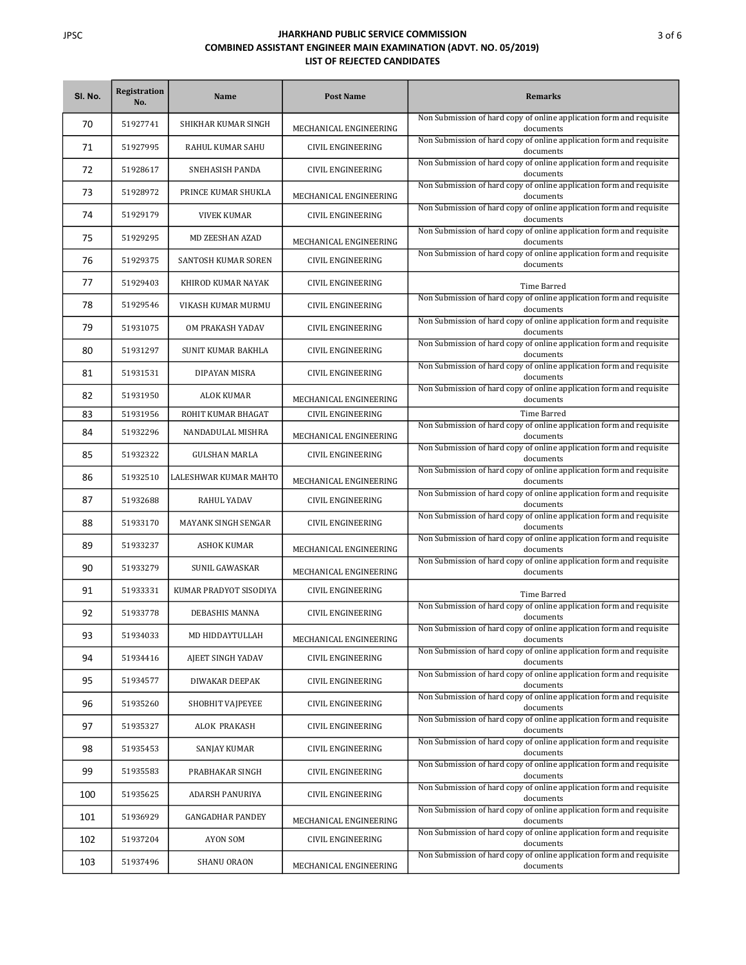| SI. No. | <b>Registration</b><br>No. | <b>Name</b>               | <b>Post Name</b>         | <b>Remarks</b>                                                                    |
|---------|----------------------------|---------------------------|--------------------------|-----------------------------------------------------------------------------------|
| 70      | 51927741                   | SHIKHAR KUMAR SINGH       | MECHANICAL ENGINEERING   | Non Submission of hard copy of online application form and requisite<br>documents |
| 71      | 51927995                   | RAHUL KUMAR SAHU          | <b>CIVIL ENGINEERING</b> | Non Submission of hard copy of online application form and requisite<br>documents |
| 72      | 51928617                   | SNEHASISH PANDA           | CIVIL ENGINEERING        | Non Submission of hard copy of online application form and requisite<br>documents |
| 73      | 51928972                   | PRINCE KUMAR SHUKLA       | MECHANICAL ENGINEERING   | Non Submission of hard copy of online application form and requisite<br>documents |
| 74      | 51929179                   | <b>VIVEK KUMAR</b>        | CIVIL ENGINEERING        | Non Submission of hard copy of online application form and requisite<br>documents |
| 75      | 51929295                   | <b>MD ZEESHAN AZAD</b>    | MECHANICAL ENGINEERING   | Non Submission of hard copy of online application form and requisite<br>documents |
| 76      | 51929375                   | SANTOSH KUMAR SOREN       | CIVIL ENGINEERING        | Non Submission of hard copy of online application form and requisite<br>documents |
| 77      | 51929403                   | KHIROD KUMAR NAYAK        | CIVIL ENGINEERING        | Time Barred                                                                       |
| 78      | 51929546                   | VIKASH KUMAR MURMU        | CIVIL ENGINEERING        | Non Submission of hard copy of online application form and requisite<br>documents |
| 79      | 51931075                   | OM PRAKASH YADAV          | CIVIL ENGINEERING        | Non Submission of hard copy of online application form and requisite<br>documents |
| 80      | 51931297                   | <b>SUNIT KUMAR BAKHLA</b> | CIVIL ENGINEERING        | Non Submission of hard copy of online application form and requisite<br>documents |
| 81      | 51931531                   | DIPAYAN MISRA             | CIVIL ENGINEERING        | Non Submission of hard copy of online application form and requisite<br>documents |
| 82      | 51931950                   | ALOK KUMAR                | MECHANICAL ENGINEERING   | Non Submission of hard copy of online application form and requisite<br>documents |
| 83      | 51931956                   | ROHIT KUMAR BHAGAT        | CIVIL ENGINEERING        | <b>Time Barred</b>                                                                |
| 84      | 51932296                   | NANDADULAL MISHRA         | MECHANICAL ENGINEERING   | Non Submission of hard copy of online application form and requisite<br>documents |
| 85      | 51932322                   | <b>GULSHAN MARLA</b>      | CIVIL ENGINEERING        | Non Submission of hard copy of online application form and requisite<br>documents |
| 86      | 51932510                   | LALESHWAR KUMAR MAHTO     | MECHANICAL ENGINEERING   | Non Submission of hard copy of online application form and requisite<br>documents |
| 87      | 51932688                   | RAHUL YADAV               | CIVIL ENGINEERING        | Non Submission of hard copy of online application form and requisite<br>documents |
| 88      | 51933170                   | MAYANK SINGH SENGAR       | CIVIL ENGINEERING        | Non Submission of hard copy of online application form and requisite<br>documents |
| 89      | 51933237                   | <b>ASHOK KUMAR</b>        | MECHANICAL ENGINEERING   | Non Submission of hard copy of online application form and requisite<br>documents |
| 90      | 51933279                   | SUNIL GAWASKAR            | MECHANICAL ENGINEERING   | Non Submission of hard copy of online application form and requisite<br>documents |
| 91      | 51933331                   | KUMAR PRADYOT SISODIYA    | CIVIL ENGINEERING        | Time Barred                                                                       |
| 92      | 51933778                   | DEBASHIS MANNA            | <b>CIVIL ENGINEERING</b> | Non Submission of hard copy of online application form and requisite<br>documents |
| 93      | 51934033                   | MD HIDDAYTULLAH           | MECHANICAL ENGINEERING   | Non Submission of hard copy of online application form and requisite<br>documents |
| 94      | 51934416                   | AJEET SINGH YADAV         | CIVIL ENGINEERING        | Non Submission of hard copy of online application form and requisite<br>documents |
| 95      | 51934577                   | DIWAKAR DEEPAK            | CIVIL ENGINEERING        | Non Submission of hard copy of online application form and requisite<br>documents |
| 96      | 51935260                   | SHOBHIT VAIPEYEE          | CIVIL ENGINEERING        | Non Submission of hard copy of online application form and requisite<br>documents |
| 97      | 51935327                   | ALOK PRAKASH              | CIVIL ENGINEERING        | Non Submission of hard copy of online application form and requisite<br>documents |
| 98      | 51935453                   | SANJAY KUMAR              | CIVIL ENGINEERING        | Non Submission of hard copy of online application form and requisite<br>documents |
| 99      | 51935583                   | PRABHAKAR SINGH           | CIVIL ENGINEERING        | Non Submission of hard copy of online application form and requisite<br>documents |
| 100     | 51935625                   | ADARSH PANURIYA           | CIVIL ENGINEERING        | Non Submission of hard copy of online application form and requisite<br>documents |
| 101     | 51936929                   | <b>GANGADHAR PANDEY</b>   | MECHANICAL ENGINEERING   | Non Submission of hard copy of online application form and requisite<br>documents |
| 102     | 51937204                   | AYON SOM                  | CIVIL ENGINEERING        | Non Submission of hard copy of online application form and requisite<br>documents |
| 103     | 51937496                   | SHANU ORAON               | MECHANICAL ENGINEERING   | Non Submission of hard copy of online application form and requisite<br>documents |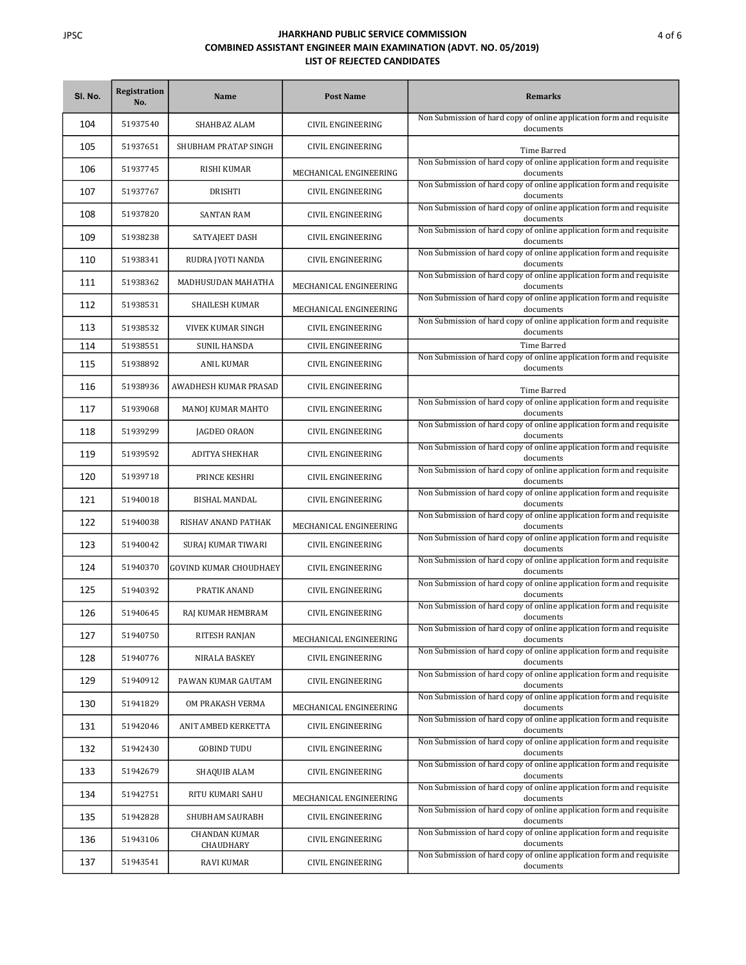| SI. No. | <b>Registration</b><br>No. | <b>Name</b>                       | <b>Post Name</b>         | <b>Remarks</b>                                                                    |
|---------|----------------------------|-----------------------------------|--------------------------|-----------------------------------------------------------------------------------|
| 104     | 51937540                   | SHAHBAZ ALAM                      | CIVIL ENGINEERING        | Non Submission of hard copy of online application form and requisite<br>documents |
| 105     | 51937651                   | SHUBHAM PRATAP SINGH              | CIVIL ENGINEERING        | Time Barred                                                                       |
| 106     | 51937745                   | <b>RISHI KUMAR</b>                | MECHANICAL ENGINEERING   | Non Submission of hard copy of online application form and requisite<br>documents |
| 107     | 51937767                   | DRISHTI                           | CIVIL ENGINEERING        | Non Submission of hard copy of online application form and requisite<br>documents |
| 108     | 51937820                   | <b>SANTAN RAM</b>                 | CIVIL ENGINEERING        | Non Submission of hard copy of online application form and requisite<br>documents |
| 109     | 51938238                   | SATYAJEET DASH                    | CIVIL ENGINEERING        | Non Submission of hard copy of online application form and requisite<br>documents |
| 110     | 51938341                   | RUDRA JYOTI NANDA                 | CIVIL ENGINEERING        | Non Submission of hard copy of online application form and requisite<br>documents |
| 111     | 51938362                   | MADHUSUDAN MAHATHA                | MECHANICAL ENGINEERING   | Non Submission of hard copy of online application form and requisite<br>documents |
| 112     | 51938531                   | <b>SHAILESH KUMAR</b>             | MECHANICAL ENGINEERING   | Non Submission of hard copy of online application form and requisite<br>documents |
| 113     | 51938532                   | VIVEK KUMAR SINGH                 | CIVIL ENGINEERING        | Non Submission of hard copy of online application form and requisite<br>documents |
| 114     | 51938551                   | <b>SUNIL HANSDA</b>               | <b>CIVIL ENGINEERING</b> | <b>Time Barred</b>                                                                |
| 115     | 51938892                   | ANIL KUMAR                        | CIVIL ENGINEERING        | Non Submission of hard copy of online application form and requisite<br>documents |
| 116     | 51938936                   | AWADHESH KUMAR PRASAD             | CIVIL ENGINEERING        | Time Barred                                                                       |
| 117     | 51939068                   | MANOJ KUMAR MAHTO                 | CIVIL ENGINEERING        | Non Submission of hard copy of online application form and requisite<br>documents |
| 118     | 51939299                   | JAGDEO ORAON                      | CIVIL ENGINEERING        | Non Submission of hard copy of online application form and requisite<br>documents |
| 119     | 51939592                   | <b>ADITYA SHEKHAR</b>             | CIVIL ENGINEERING        | Non Submission of hard copy of online application form and requisite<br>documents |
| 120     | 51939718                   | PRINCE KESHRI                     | CIVIL ENGINEERING        | Non Submission of hard copy of online application form and requisite<br>documents |
| 121     | 51940018                   | BISHAL MANDAL                     | CIVIL ENGINEERING        | Non Submission of hard copy of online application form and requisite<br>documents |
| 122     | 51940038                   | RISHAV ANAND PATHAK               | MECHANICAL ENGINEERING   | Non Submission of hard copy of online application form and requisite<br>documents |
| 123     | 51940042                   | SURAJ KUMAR TIWARI                | CIVIL ENGINEERING        | Non Submission of hard copy of online application form and requisite<br>documents |
| 124     | 51940370                   | <b>GOVIND KUMAR CHOUDHAEY</b>     | CIVIL ENGINEERING        | Non Submission of hard copy of online application form and requisite<br>documents |
| 125     | 51940392                   | PRATIK ANAND                      | CIVIL ENGINEERING        | Non Submission of hard copy of online application form and requisite<br>documents |
| 126     | 51940645                   | RAJ KUMAR HEMBRAM                 | CIVIL ENGINEERING        | Non Submission of hard copy of online application form and requisite<br>documents |
| 127     | 51940750                   | RITESH RANJAN                     | MECHANICAL ENGINEERING   | Non Submission of hard copy of online application form and requisite<br>documents |
| 128     | 51940776                   | NIRALA BASKEY                     | CIVIL ENGINEERING        | Non Submission of hard copy of online application form and requisite<br>documents |
| 129     | 51940912                   | PAWAN KUMAR GAUTAM                | CIVIL ENGINEERING        | Non Submission of hard copy of online application form and requisite<br>documents |
| 130     | 51941829                   | OM PRAKASH VERMA                  | MECHANICAL ENGINEERING   | Non Submission of hard copy of online application form and requisite<br>documents |
| 131     | 51942046                   | ANIT AMBED KERKETTA               | CIVIL ENGINEERING        | Non Submission of hard copy of online application form and requisite<br>documents |
| 132     | 51942430                   | <b>GOBIND TUDU</b>                | CIVIL ENGINEERING        | Non Submission of hard copy of online application form and requisite<br>documents |
| 133     | 51942679                   | SHAQUIB ALAM                      | CIVIL ENGINEERING        | Non Submission of hard copy of online application form and requisite<br>documents |
| 134     | 51942751                   | RITU KUMARI SAHU                  | MECHANICAL ENGINEERING   | Non Submission of hard copy of online application form and requisite<br>documents |
| 135     | 51942828                   | SHUBHAM SAURABH                   | CIVIL ENGINEERING        | Non Submission of hard copy of online application form and requisite<br>documents |
| 136     | 51943106                   | <b>CHANDAN KUMAR</b><br>CHAUDHARY | CIVIL ENGINEERING        | Non Submission of hard copy of online application form and requisite<br>documents |
| 137     | 51943541                   | RAVI KUMAR                        | CIVIL ENGINEERING        | Non Submission of hard copy of online application form and requisite<br>documents |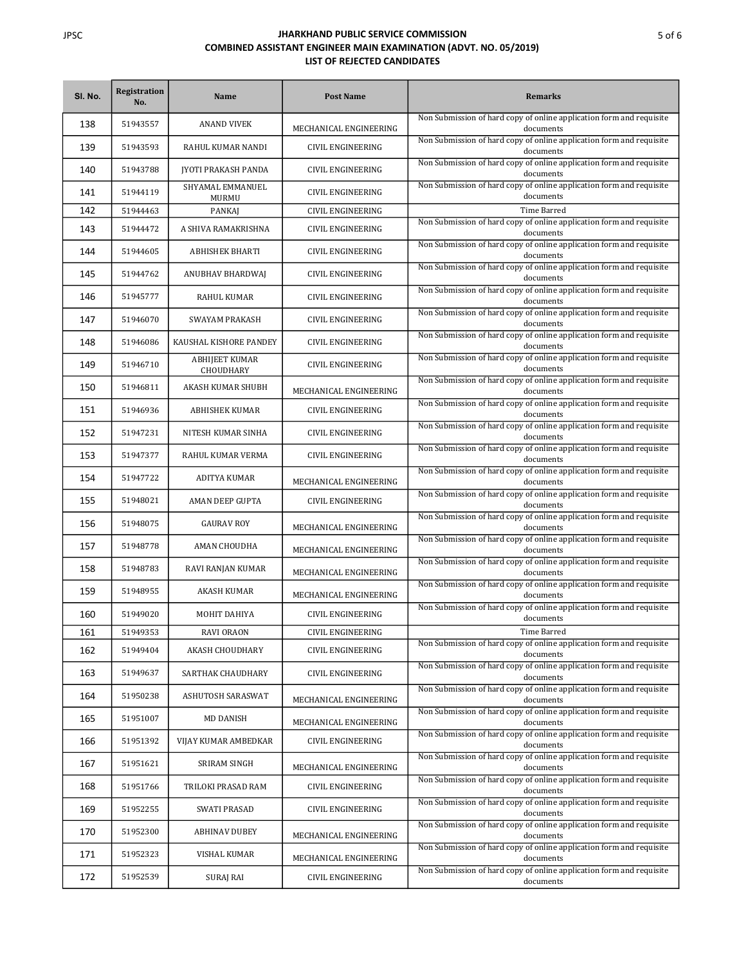| SI. No. | Registration<br>No. | Name                               | <b>Post Name</b>         | <b>Remarks</b>                                                                    |
|---------|---------------------|------------------------------------|--------------------------|-----------------------------------------------------------------------------------|
| 138     | 51943557            | <b>ANAND VIVEK</b>                 | MECHANICAL ENGINEERING   | Non Submission of hard copy of online application form and requisite<br>documents |
| 139     | 51943593            | RAHUL KUMAR NANDI                  | CIVIL ENGINEERING        | Non Submission of hard copy of online application form and requisite<br>documents |
| 140     | 51943788            | <b>JYOTI PRAKASH PANDA</b>         | CIVIL ENGINEERING        | Non Submission of hard copy of online application form and requisite<br>documents |
| 141     | 51944119            | SHYAMAL EMMANUEL<br>MURMU          | CIVIL ENGINEERING        | Non Submission of hard copy of online application form and requisite<br>documents |
| 142     | 51944463            | PANKAJ                             | CIVIL ENGINEERING        | Time Barred                                                                       |
| 143     | 51944472            | A SHIVA RAMAKRISHNA                | <b>CIVIL ENGINEERING</b> | Non Submission of hard copy of online application form and requisite<br>documents |
| 144     | 51944605            | <b>ABHISHEK BHARTI</b>             | CIVIL ENGINEERING        | Non Submission of hard copy of online application form and requisite<br>documents |
| 145     | 51944762            | ANUBHAV BHARDWAJ                   | CIVIL ENGINEERING        | Non Submission of hard copy of online application form and requisite<br>documents |
| 146     | 51945777            | RAHUL KUMAR                        | CIVIL ENGINEERING        | Non Submission of hard copy of online application form and requisite<br>documents |
| 147     | 51946070            | <b>SWAYAM PRAKASH</b>              | CIVIL ENGINEERING        | Non Submission of hard copy of online application form and requisite<br>documents |
| 148     | 51946086            | KAUSHAL KISHORE PANDEY             | <b>CIVIL ENGINEERING</b> | Non Submission of hard copy of online application form and requisite<br>documents |
| 149     | 51946710            | <b>ABHIJEET KUMAR</b><br>CHOUDHARY | <b>CIVIL ENGINEERING</b> | Non Submission of hard copy of online application form and requisite<br>documents |
| 150     | 51946811            | AKASH KUMAR SHUBH                  | MECHANICAL ENGINEERING   | Non Submission of hard copy of online application form and requisite<br>documents |
| 151     | 51946936            | <b>ABHISHEK KUMAR</b>              | CIVIL ENGINEERING        | Non Submission of hard copy of online application form and requisite<br>documents |
| 152     | 51947231            | NITESH KUMAR SINHA                 | CIVIL ENGINEERING        | Non Submission of hard copy of online application form and requisite<br>documents |
| 153     | 51947377            | RAHUL KUMAR VERMA                  | CIVIL ENGINEERING        | Non Submission of hard copy of online application form and requisite<br>documents |
| 154     | 51947722            | ADITYA KUMAR                       | MECHANICAL ENGINEERING   | Non Submission of hard copy of online application form and requisite<br>documents |
| 155     | 51948021            | AMAN DEEP GUPTA                    | CIVIL ENGINEERING        | Non Submission of hard copy of online application form and requisite<br>documents |
| 156     | 51948075            | <b>GAURAV ROY</b>                  | MECHANICAL ENGINEERING   | Non Submission of hard copy of online application form and requisite<br>documents |
| 157     | 51948778            | AMAN CHOUDHA                       | MECHANICAL ENGINEERING   | Non Submission of hard copy of online application form and requisite<br>documents |
| 158     | 51948783            | RAVI RANJAN KUMAR                  | MECHANICAL ENGINEERING   | Non Submission of hard copy of online application form and requisite<br>documents |
| 159     | 51948955            | AKASH KUMAR                        | MECHANICAL ENGINEERING   | Non Submission of hard copy of online application form and requisite<br>documents |
| 160     | 51949020            | MOHIT DAHIYA                       | CIVIL ENGINEERING        | Non Submission of hard copy of online application form and requisite<br>documents |
| 161     | 51949353            | <b>RAVI ORAON</b>                  | <b>CIVIL ENGINEERING</b> | Time Barred                                                                       |
| 162     | 51949404            | AKASH CHOUDHARY                    | CIVIL ENGINEERING        | Non Submission of hard copy of online application form and requisite<br>documents |
| 163     | 51949637            | SARTHAK CHAUDHARY                  | CIVIL ENGINEERING        | Non Submission of hard copy of online application form and requisite<br>documents |
| 164     | 51950238            | ASHUTOSH SARASWAT                  | MECHANICAL ENGINEERING   | Non Submission of hard copy of online application form and requisite<br>documents |
| 165     | 51951007            | MD DANISH                          | MECHANICAL ENGINEERING   | Non Submission of hard copy of online application form and requisite<br>documents |
| 166     | 51951392            | VIJAY KUMAR AMBEDKAR               | CIVIL ENGINEERING        | Non Submission of hard copy of online application form and requisite<br>documents |
| 167     | 51951621            | SRIRAM SINGH                       | MECHANICAL ENGINEERING   | Non Submission of hard copy of online application form and requisite<br>documents |
| 168     | 51951766            | TRILOKI PRASAD RAM                 | CIVIL ENGINEERING        | Non Submission of hard copy of online application form and requisite<br>documents |
| 169     | 51952255            | SWATI PRASAD                       | CIVIL ENGINEERING        | Non Submission of hard copy of online application form and requisite<br>documents |
| 170     | 51952300            | <b>ABHINAV DUBEY</b>               | MECHANICAL ENGINEERING   | Non Submission of hard copy of online application form and requisite<br>documents |
| 171     | 51952323            | VISHAL KUMAR                       | MECHANICAL ENGINEERING   | Non Submission of hard copy of online application form and requisite<br>documents |
| 172     | 51952539            | SURAJ RAI                          | CIVIL ENGINEERING        | Non Submission of hard copy of online application form and requisite<br>documents |